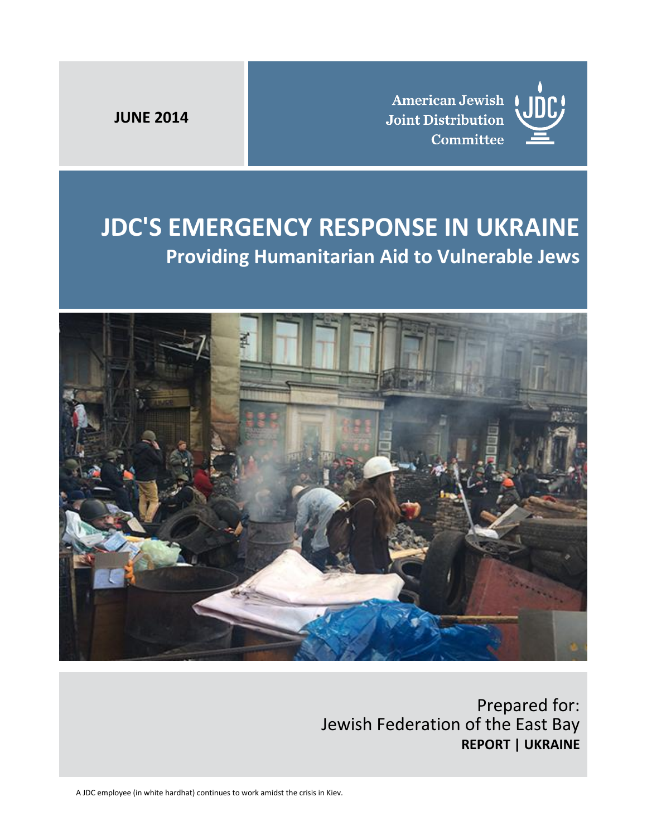**JUNE 2014**

**American Jewish Joint Distribution** Committee



# **JDC'S EMERGENCY RESPONSE IN UKRAINE Providing Humanitarian Aid to Vulnerable Jews**



Prepared for: Jewish Federation of the East Bay **REPORT | UKRAINE**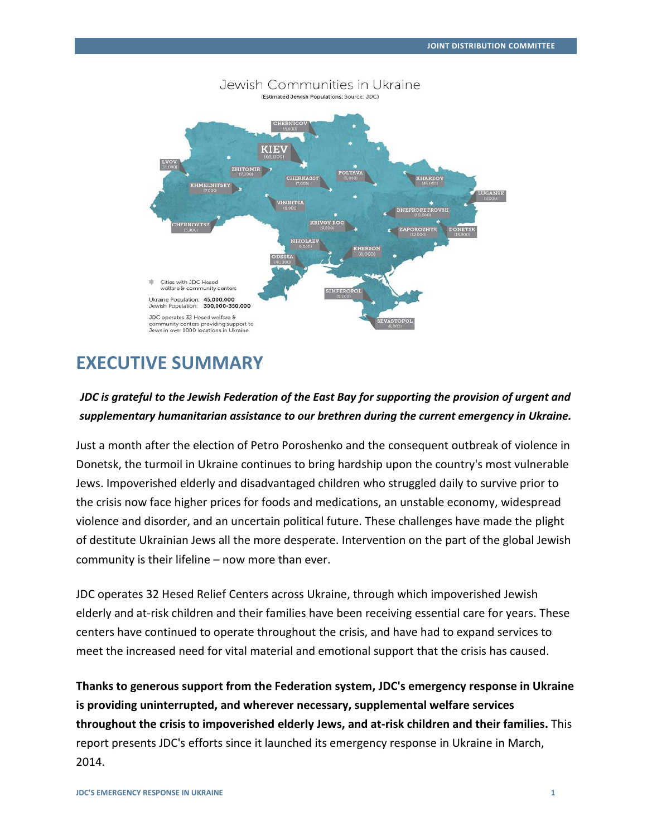

### Jewish Communities in Ukraine

### **EXECUTIVE SUMMARY**

### *JDC is grateful to the Jewish Federation of the East Bay for supporting the provision of urgent and supplementary humanitarian assistance to our brethren during the current emergency in Ukraine.*

Just a month after the election of Petro Poroshenko and the consequent outbreak of violence in Donetsk, the turmoil in Ukraine continues to bring hardship upon the country's most vulnerable Jews. Impoverished elderly and disadvantaged children who struggled daily to survive prior to the crisis now face higher prices for foods and medications, an unstable economy, widespread violence and disorder, and an uncertain political future. These challenges have made the plight of destitute Ukrainian Jews all the more desperate. Intervention on the part of the global Jewish community is their lifeline – now more than ever.

JDC operates 32 Hesed Relief Centers across Ukraine, through which impoverished Jewish elderly and at-risk children and their families have been receiving essential care for years. These centers have continued to operate throughout the crisis, and have had to expand services to meet the increased need for vital material and emotional support that the crisis has caused.

**Thanks to generous support from the Federation system, JDC's emergency response in Ukraine is providing uninterrupted, and wherever necessary, supplemental welfare services throughout the crisis to impoverished elderly Jews, and at-risk children and their families.** This report presents JDC's efforts since it launched its emergency response in Ukraine in March, 2014.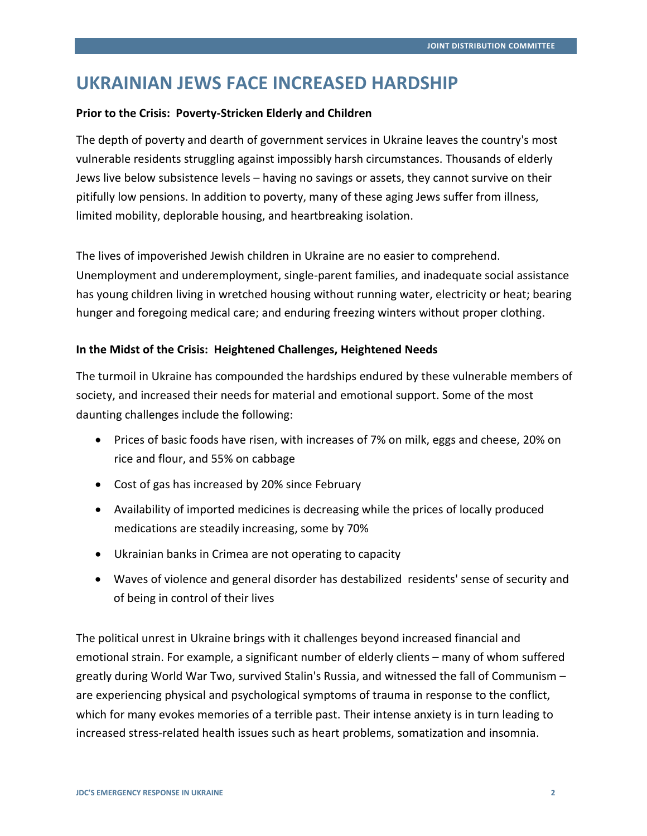## **UKRAINIAN JEWS FACE INCREASED HARDSHIP**

### **Prior to the Crisis: Poverty-Stricken Elderly and Children**

The depth of poverty and dearth of government services in Ukraine leaves the country's most vulnerable residents struggling against impossibly harsh circumstances. Thousands of elderly Jews live below subsistence levels – having no savings or assets, they cannot survive on their pitifully low pensions. In addition to poverty, many of these aging Jews suffer from illness, limited mobility, deplorable housing, and heartbreaking isolation.

The lives of impoverished Jewish children in Ukraine are no easier to comprehend. Unemployment and underemployment, single-parent families, and inadequate social assistance has young children living in wretched housing without running water, electricity or heat; bearing hunger and foregoing medical care; and enduring freezing winters without proper clothing.

### **In the Midst of the Crisis: Heightened Challenges, Heightened Needs**

The turmoil in Ukraine has compounded the hardships endured by these vulnerable members of society, and increased their needs for material and emotional support. Some of the most daunting challenges include the following:

- Prices of basic foods have risen, with increases of 7% on milk, eggs and cheese, 20% on rice and flour, and 55% on cabbage
- Cost of gas has increased by 20% since February
- Availability of imported medicines is decreasing while the prices of locally produced medications are steadily increasing, some by 70%
- Ukrainian banks in Crimea are not operating to capacity
- Waves of violence and general disorder has destabilized residents' sense of security and of being in control of their lives

The political unrest in Ukraine brings with it challenges beyond increased financial and emotional strain. For example, a significant number of elderly clients – many of whom suffered greatly during World War Two, survived Stalin's Russia, and witnessed the fall of Communism – are experiencing physical and psychological symptoms of trauma in response to the conflict, which for many evokes memories of a terrible past. Their intense anxiety is in turn leading to increased stress-related health issues such as heart problems, somatization and insomnia.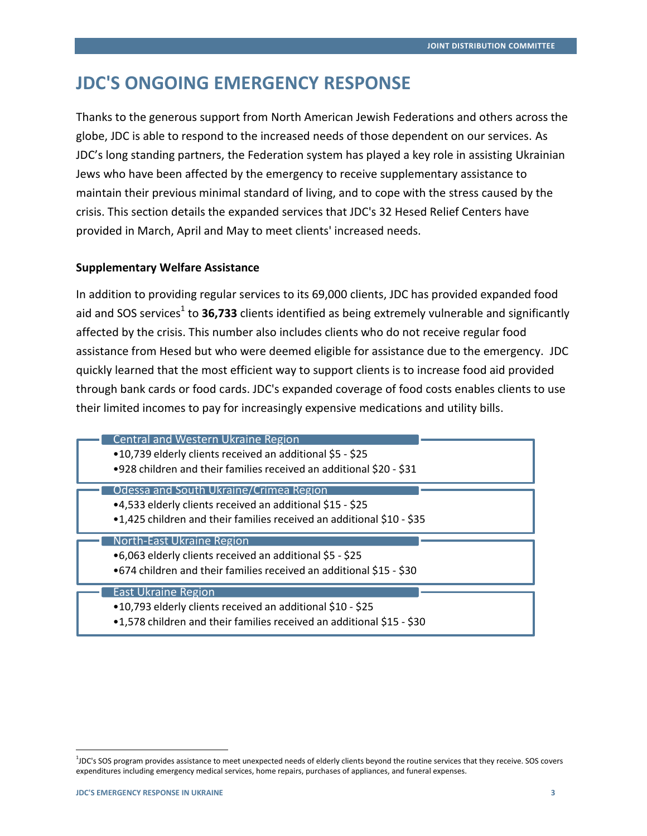### **JDC'S ONGOING EMERGENCY RESPONSE**

Thanks to the generous support from North American Jewish Federations and others across the globe, JDC is able to respond to the increased needs of those dependent on our services. As JDC's long standing partners, the Federation system has played a key role in assisting Ukrainian Jews who have been affected by the emergency to receive supplementary assistance to maintain their previous minimal standard of living, and to cope with the stress caused by the crisis. This section details the expanded services that JDC's 32 Hesed Relief Centers have provided in March, April and May to meet clients' increased needs.

#### **Supplementary Welfare Assistance**

In addition to providing regular services to its 69,000 clients, JDC has provided expanded food aid and SOS services<sup>1</sup> to **36,733** clients identified as being extremely vulnerable and significantly affected by the crisis. This number also includes clients who do not receive regular food assistance from Hesed but who were deemed eligible for assistance due to the emergency. JDC quickly learned that the most efficient way to support clients is to increase food aid provided through bank cards or food cards. JDC's expanded coverage of food costs enables clients to use their limited incomes to pay for increasingly expensive medications and utility bills.

| <b>Central and Western Ukraine Region</b><br>•10,739 elderly clients received an additional \$5 - \$25<br>•928 children and their families received an additional \$20 - \$31 |  |
|-------------------------------------------------------------------------------------------------------------------------------------------------------------------------------|--|
| Odessa and South Ukraine/Crimea Region<br>•4,533 elderly clients received an additional \$15 - \$25<br>•1,425 children and their families received an additional \$10 - \$35  |  |
|                                                                                                                                                                               |  |
| North-East Ukraine Region<br>•6,063 elderly clients received an additional \$5 - \$25<br>•674 children and their families received an additional \$15 - \$30                  |  |

 $\overline{a}$ 

<sup>1</sup> JDC's SOS program provides assistance to meet unexpected needs of elderly clients beyond the routine services that they receive. SOS covers expenditures including emergency medical services, home repairs, purchases of appliances, and funeral expenses.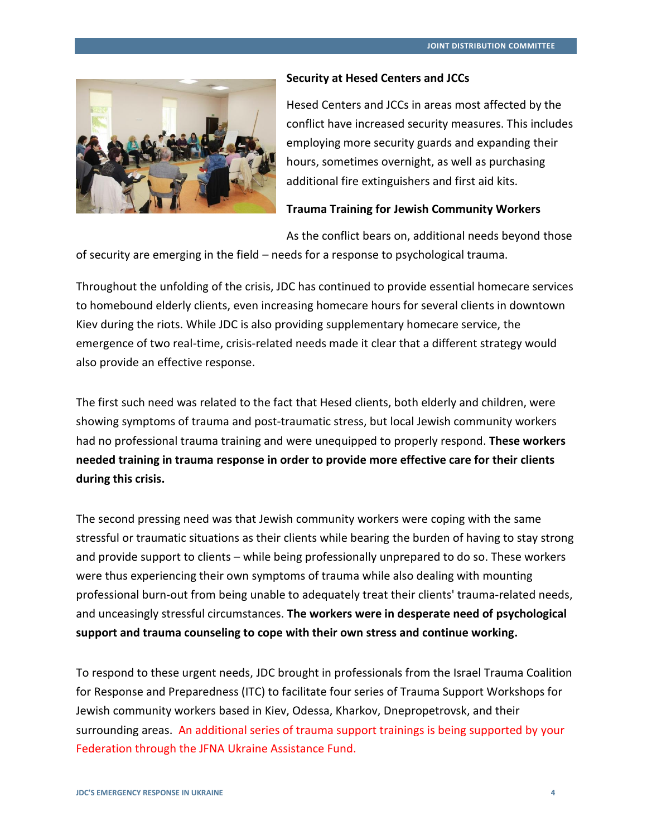

#### **Security at Hesed Centers and JCCs**

Hesed Centers and JCCs in areas most affected by the conflict have increased security measures. This includes employing more security guards and expanding their hours, sometimes overnight, as well as purchasing additional fire extinguishers and first aid kits.

### **Trauma Training for Jewish Community Workers**

As the conflict bears on, additional needs beyond those

of security are emerging in the field – needs for a response to psychological trauma.

Throughout the unfolding of the crisis, JDC has continued to provide essential homecare services to homebound elderly clients, even increasing homecare hours for several clients in downtown Kiev during the riots. While JDC is also providing supplementary homecare service, the emergence of two real-time, crisis-related needs made it clear that a different strategy would also provide an effective response.

The first such need was related to the fact that Hesed clients, both elderly and children, were showing symptoms of trauma and post-traumatic stress, but local Jewish community workers had no professional trauma training and were unequipped to properly respond. **These workers needed training in trauma response in order to provide more effective care for their clients during this crisis.**

The second pressing need was that Jewish community workers were coping with the same stressful or traumatic situations as their clients while bearing the burden of having to stay strong and provide support to clients – while being professionally unprepared to do so. These workers were thus experiencing their own symptoms of trauma while also dealing with mounting professional burn-out from being unable to adequately treat their clients' trauma-related needs, and unceasingly stressful circumstances. **The workers were in desperate need of psychological support and trauma counseling to cope with their own stress and continue working.**

To respond to these urgent needs, JDC brought in professionals from the Israel Trauma Coalition for Response and Preparedness (ITC) to facilitate four series of Trauma Support Workshops for Jewish community workers based in Kiev, Odessa, Kharkov, Dnepropetrovsk, and their surrounding areas. An additional series of trauma support trainings is being supported by your Federation through the JFNA Ukraine Assistance Fund.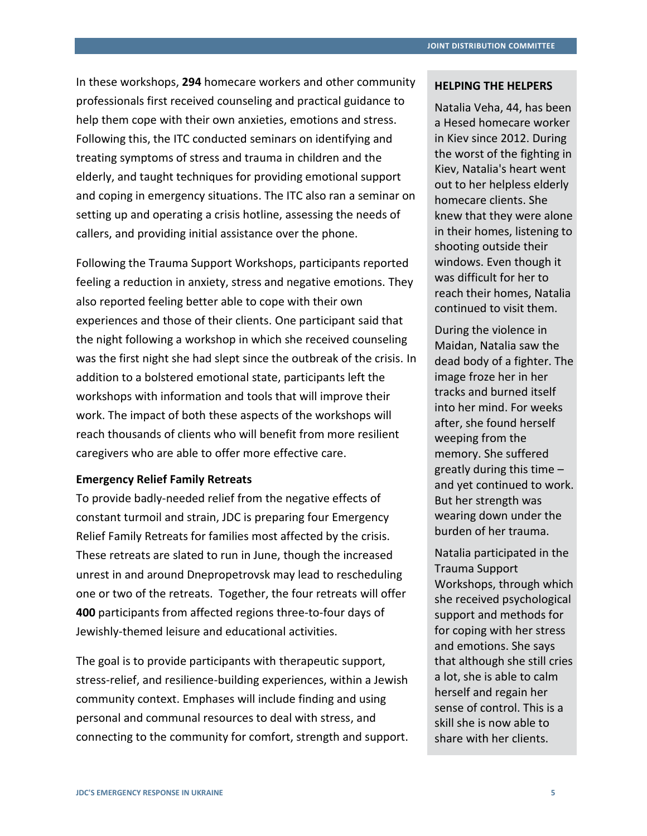In these workshops, **294** homecare workers and other community professionals first received counseling and practical guidance to help them cope with their own anxieties, emotions and stress. Following this, the ITC conducted seminars on identifying and treating symptoms of stress and trauma in children and the elderly, and taught techniques for providing emotional support and coping in emergency situations. The ITC also ran a seminar on setting up and operating a crisis hotline, assessing the needs of callers, and providing initial assistance over the phone.

Following the Trauma Support Workshops, participants reported feeling a reduction in anxiety, stress and negative emotions. They also reported feeling better able to cope with their own experiences and those of their clients. One participant said that the night following a workshop in which she received counseling was the first night she had slept since the outbreak of the crisis. In addition to a bolstered emotional state, participants left the workshops with information and tools that will improve their work. The impact of both these aspects of the workshops will reach thousands of clients who will benefit from more resilient caregivers who are able to offer more effective care.

#### **Emergency Relief Family Retreats**

To provide badly-needed relief from the negative effects of constant turmoil and strain, JDC is preparing four Emergency Relief Family Retreats for families most affected by the crisis. These retreats are slated to run in June, though the increased unrest in and around Dnepropetrovsk may lead to rescheduling one or two of the retreats. Together, the four retreats will offer **400** participants from affected regions three-to-four days of Jewishly-themed leisure and educational activities.

The goal is to provide participants with therapeutic support, stress-relief, and resilience-building experiences, within a Jewish community context. Emphases will include finding and using personal and communal resources to deal with stress, and connecting to the community for comfort, strength and support.

#### **HELPING THE HELPERS**

Natalia Veha, 44, has been a Hesed homecare worker in Kiev since 2012. During the worst of the fighting in Kiev, Natalia's heart went out to her helpless elderly homecare clients. She knew that they were alone in their homes, listening to shooting outside their windows. Even though it was difficult for her to reach their homes, Natalia continued to visit them.

During the violence in Maidan, Natalia saw the dead body of a fighter. The image froze her in her tracks and burned itself into her mind. For weeks after, she found herself weeping from the memory. She suffered greatly during this time – and yet continued to work. But her strength was wearing down under the burden of her trauma.

Natalia participated in the Trauma Support Workshops, through which she received psychological support and methods for for coping with her stress and emotions. She says that although she still cries a lot, she is able to calm herself and regain her sense of control. This is a skill she is now able to share with her clients.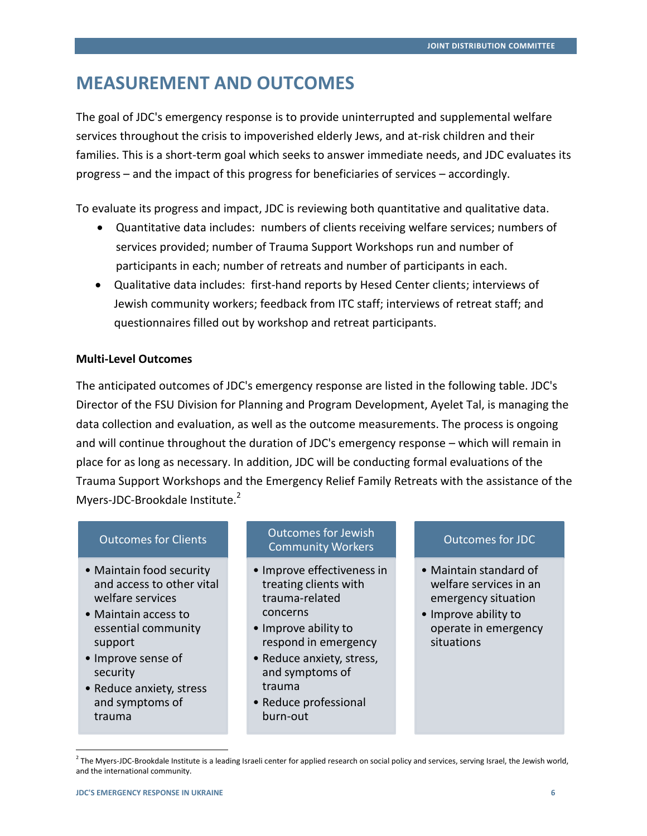# **MEASUREMENT AND OUTCOMES**

The goal of JDC's emergency response is to provide uninterrupted and supplemental welfare services throughout the crisis to impoverished elderly Jews, and at-risk children and their families. This is a short-term goal which seeks to answer immediate needs, and JDC evaluates its progress – and the impact of this progress for beneficiaries of services – accordingly.

To evaluate its progress and impact, JDC is reviewing both quantitative and qualitative data.

- Quantitative data includes: numbers of clients receiving welfare services; numbers of services provided; number of Trauma Support Workshops run and number of participants in each; number of retreats and number of participants in each.
- Qualitative data includes: first-hand reports by Hesed Center clients; interviews of Jewish community workers; feedback from ITC staff; interviews of retreat staff; and questionnaires filled out by workshop and retreat participants.

### **Multi-Level Outcomes**

The anticipated outcomes of JDC's emergency response are listed in the following table. JDC's Director of the FSU Division for Planning and Program Development, Ayelet Tal, is managing the data collection and evaluation, as well as the outcome measurements. The process is ongoing and will continue throughout the duration of JDC's emergency response – which will remain in place for as long as necessary. In addition, JDC will be conducting formal evaluations of the Trauma Support Workshops and the Emergency Relief Family Retreats with the assistance of the Myers-JDC-Brookdale Institute.<sup>2</sup>

### Outcomes for Clients

- Maintain food security and access to other vital welfare services
- Maintain access to essential community support
- Improve sense of security
- Reduce anxiety, stress and symptoms of trauma

 $\overline{a}$ 

### Outcomes for Jewish Community Workers

- Improve effectiveness in treating clients with trauma-related concerns
- Improve ability to respond in emergency
- Reduce anxiety, stress, and symptoms of trauma
- Reduce professional burn-out

### Outcomes for JDC

- Maintain standard of welfare services in an emergency situation
- Improve ability to operate in emergency situations

<sup>&</sup>lt;sup>2</sup> The Myers-JDC-Brookdale Institute is a leading Israeli center for applied research on social policy and services, serving Israel, the Jewish world, and the international community.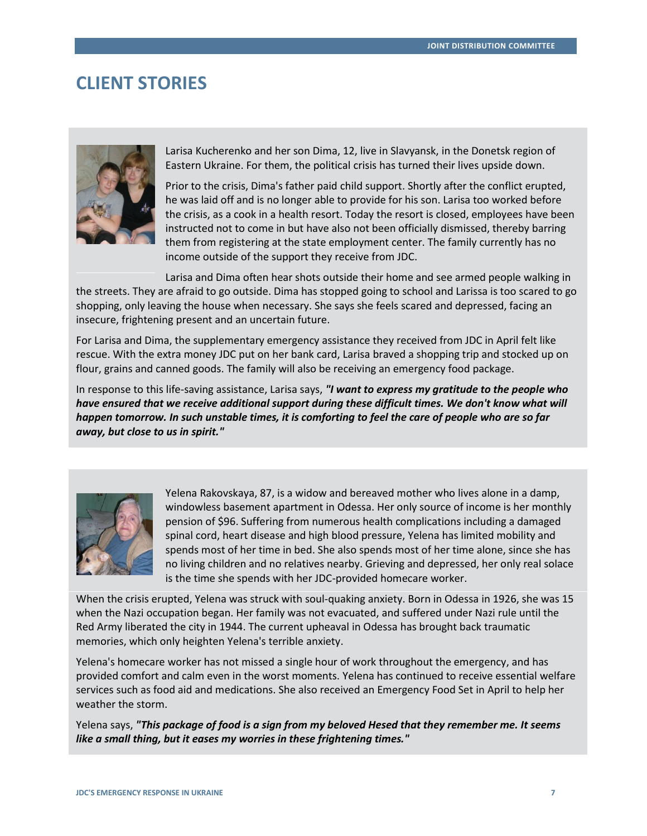### **CLIENT STORIES**



Larisa Kucherenko and her son Dima, 12, live in Slavyansk, in the Donetsk region of Eastern Ukraine. For them, the political crisis has turned their lives upside down.

Prior to the crisis, Dima's father paid child support. Shortly after the conflict erupted, he was laid off and is no longer able to provide for his son. Larisa too worked before the crisis, as a cook in a health resort. Today the resort is closed, employees have been instructed not to come in but have also not been officially dismissed, thereby barring them from registering at the state employment center. The family currently has no income outside of the support they receive from JDC.

Larisa and Dima often hear shots outside their home and see armed people walking in the streets. They are afraid to go outside. Dima has stopped going to school and Larissa is too scared to go shopping, only leaving the house when necessary. She says she feels scared and depressed, facing an insecure, frightening present and an uncertain future.

For Larisa and Dima, the supplementary emergency assistance they received from JDC in April felt like rescue. With the extra money JDC put on her bank card, Larisa braved a shopping trip and stocked up on flour, grains and canned goods. The family will also be receiving an emergency food package.

In response to this life-saving assistance, Larisa says, *"I want to express my gratitude to the people who have ensured that we receive additional support during these difficult times. We don't know what will happen tomorrow. In such unstable times, it is comforting to feel the care of people who are so far away, but close to us in spirit."*



Yelena Rakovskaya, 87, is a widow and bereaved mother who lives alone in a damp, windowless basement apartment in Odessa. Her only source of income is her monthly pension of \$96. Suffering from numerous health complications including a damaged spinal cord, heart disease and high blood pressure, Yelena has limited mobility and spends most of her time in bed. She also spends most of her time alone, since she has no living children and no relatives nearby. Grieving and depressed, her only real solace is the time she spends with her JDC-provided homecare worker.

When the crisis erupted, Yelena was struck with soul-quaking anxiety. Born in Odessa in 1926, she was 15 when the Nazi occupation began. Her family was not evacuated, and suffered under Nazi rule until the Red Army liberated the city in 1944. The current upheaval in Odessa has brought back traumatic memories, which only heighten Yelena's terrible anxiety.

Yelena's homecare worker has not missed a single hour of work throughout the emergency, and has provided comfort and calm even in the worst moments. Yelena has continued to receive essential welfare services such as food aid and medications. She also received an Emergency Food Set in April to help her weather the storm.

Yelena says, *"This package of food is a sign from my beloved Hesed that they remember me. It seems like a small thing, but it eases my worries in these frightening times."*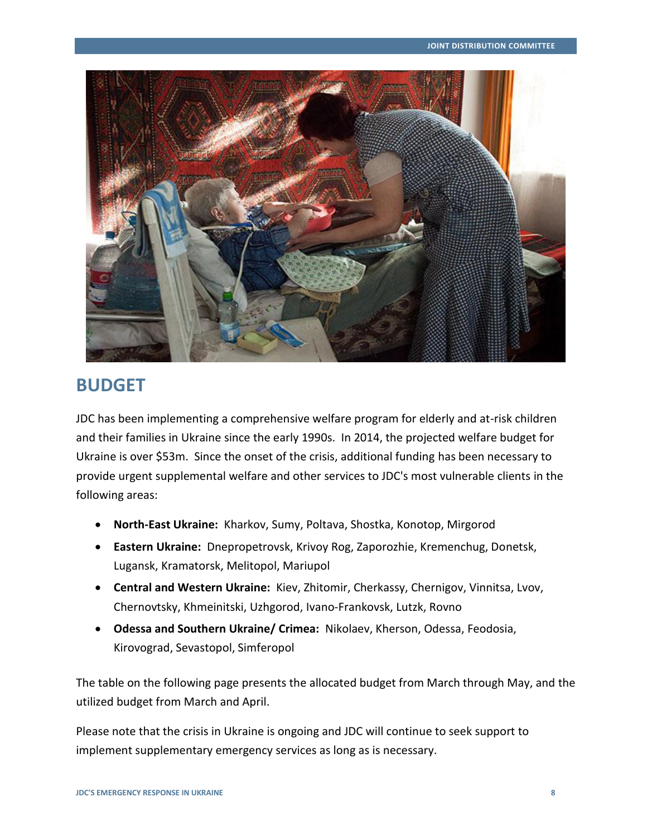

### **BUDGET**

JDC has been implementing a comprehensive welfare program for elderly and at-risk children and their families in Ukraine since the early 1990s. In 2014, the projected welfare budget for Ukraine is over \$53m. Since the onset of the crisis, additional funding has been necessary to provide urgent supplemental welfare and other services to JDC's most vulnerable clients in the following areas:

- **North-East Ukraine:** Kharkov, Sumy, Poltava, Shostka, Konotop, Mirgorod
- **Eastern Ukraine:** Dnepropetrovsk, Krivoy Rog, Zaporozhie, Kremenchug, Donetsk, Lugansk, Kramatorsk, Melitopol, Mariupol
- **Central and Western Ukraine:** Kiev, Zhitomir, Cherkassy, Chernigov, Vinnitsa, Lvov, Chernovtsky, Khmeinitski, Uzhgorod, Ivano-Frankovsk, Lutzk, Rovno
- **Odessa and Southern Ukraine/ Crimea:** Nikolaev, Kherson, Odessa, Feodosia, Kirovograd, Sevastopol, Simferopol

The table on the following page presents the allocated budget from March through May, and the utilized budget from March and April.

Please note that the crisis in Ukraine is ongoing and JDC will continue to seek support to implement supplementary emergency services as long as is necessary.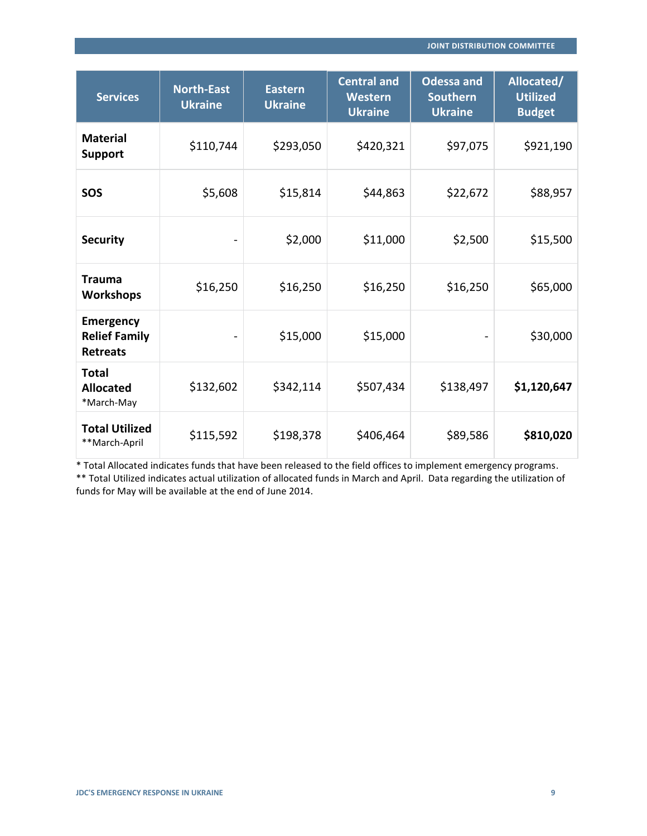| <b>Services</b>                                             | <b>North-East</b><br><b>Ukraine</b> | <b>Eastern</b><br><b>Ukraine</b> | <b>Central and</b><br>Western<br><b>Ukraine</b> | <b>Odessa and</b><br><b>Southern</b><br><b>Ukraine</b> | Allocated/<br><b>Utilized</b><br><b>Budget</b> |
|-------------------------------------------------------------|-------------------------------------|----------------------------------|-------------------------------------------------|--------------------------------------------------------|------------------------------------------------|
| <b>Material</b><br><b>Support</b>                           | \$110,744                           | \$293,050                        | \$420,321                                       | \$97,075                                               | \$921,190                                      |
| SOS                                                         | \$5,608                             | \$15,814                         | \$44,863                                        | \$22,672                                               | \$88,957                                       |
| <b>Security</b>                                             |                                     | \$2,000                          | \$11,000                                        | \$2,500                                                | \$15,500                                       |
| <b>Trauma</b><br><b>Workshops</b>                           | \$16,250                            | \$16,250                         | \$16,250                                        | \$16,250                                               | \$65,000                                       |
| <b>Emergency</b><br><b>Relief Family</b><br><b>Retreats</b> |                                     | \$15,000                         | \$15,000                                        |                                                        | \$30,000                                       |
| <b>Total</b><br><b>Allocated</b><br>*March-May              | \$132,602                           | \$342,114                        | \$507,434                                       | \$138,497                                              | \$1,120,647                                    |
| <b>Total Utilized</b><br>**March-April                      | \$115,592                           | \$198,378                        | \$406,464                                       | \$89,586                                               | \$810,020                                      |

\* Total Allocated indicates funds that have been released to the field offices to implement emergency programs.

\*\* Total Utilized indicates actual utilization of allocated funds in March and April. Data regarding the utilization of funds for May will be available at the end of June 2014.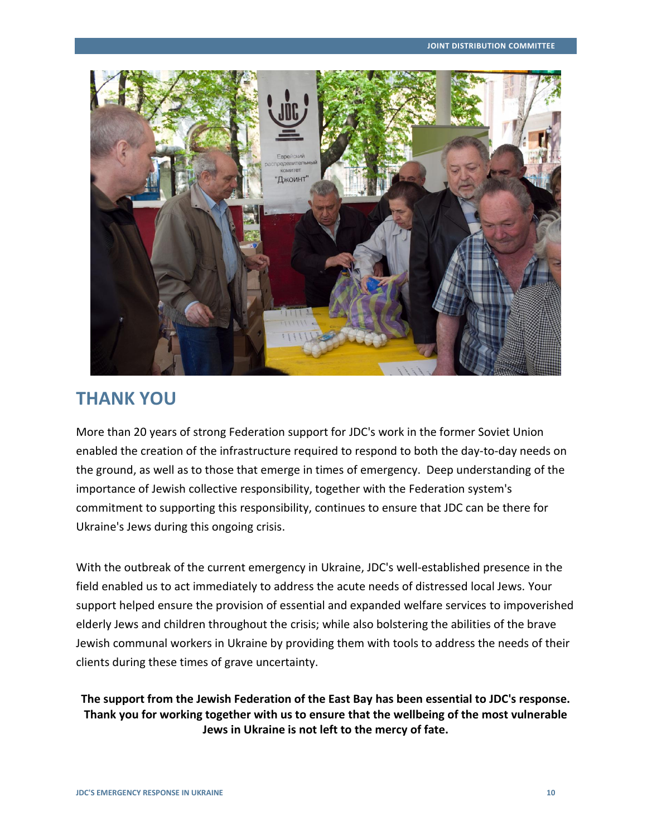

### **THANK YOU**

More than 20 years of strong Federation support for JDC's work in the former Soviet Union enabled the creation of the infrastructure required to respond to both the day-to-day needs on the ground, as well as to those that emerge in times of emergency. Deep understanding of the importance of Jewish collective responsibility, together with the Federation system's commitment to supporting this responsibility, continues to ensure that JDC can be there for Ukraine's Jews during this ongoing crisis.

With the outbreak of the current emergency in Ukraine, JDC's well-established presence in the field enabled us to act immediately to address the acute needs of distressed local Jews. Your support helped ensure the provision of essential and expanded welfare services to impoverished elderly Jews and children throughout the crisis; while also bolstering the abilities of the brave Jewish communal workers in Ukraine by providing them with tools to address the needs of their clients during these times of grave uncertainty.

### **The support from the Jewish Federation of the East Bay has been essential to JDC's response. Thank you for working together with us to ensure that the wellbeing of the most vulnerable Jews in Ukraine is not left to the mercy of fate.**